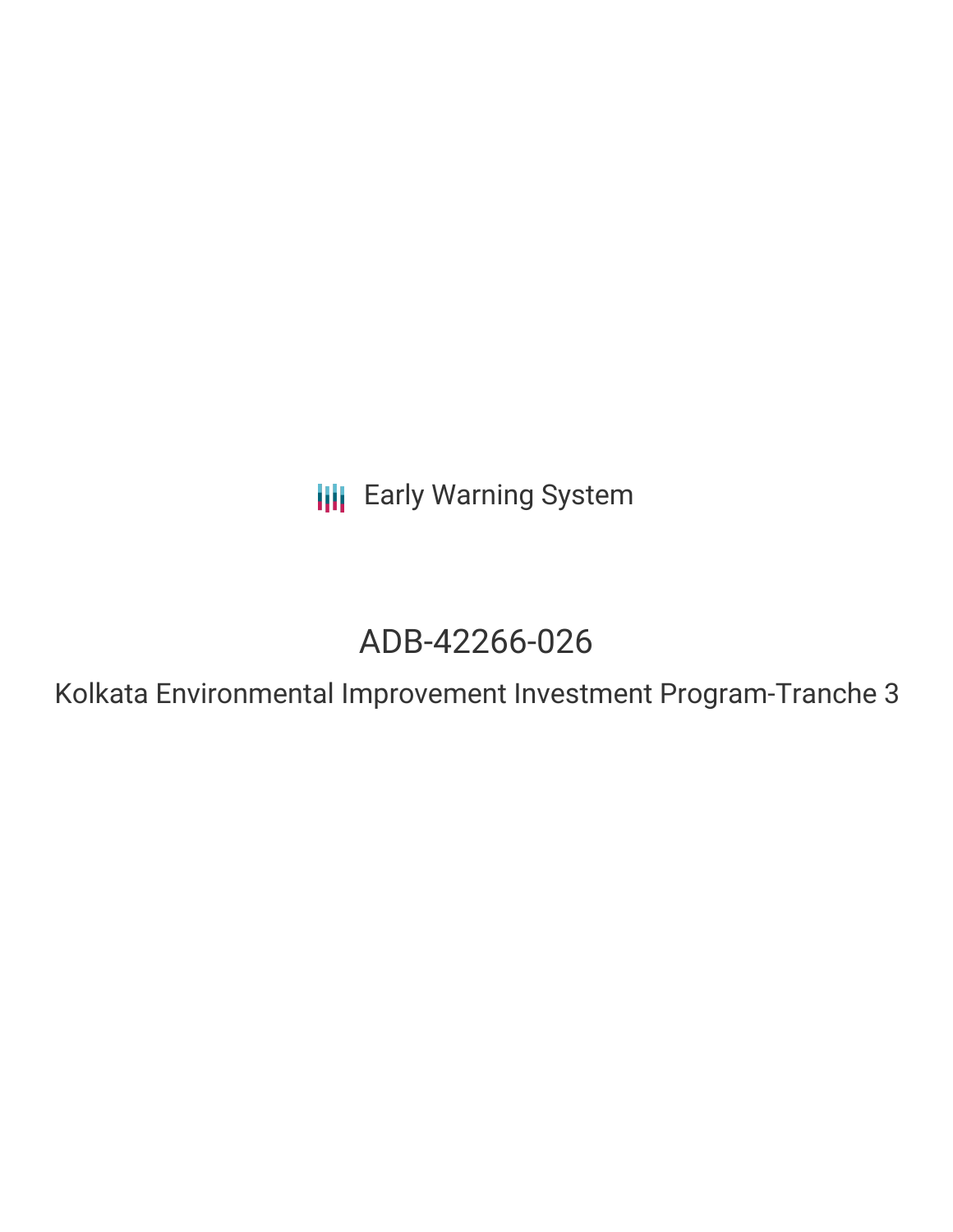**III** Early Warning System

# ADB-42266-026

Kolkata Environmental Improvement Investment Program-Tranche 3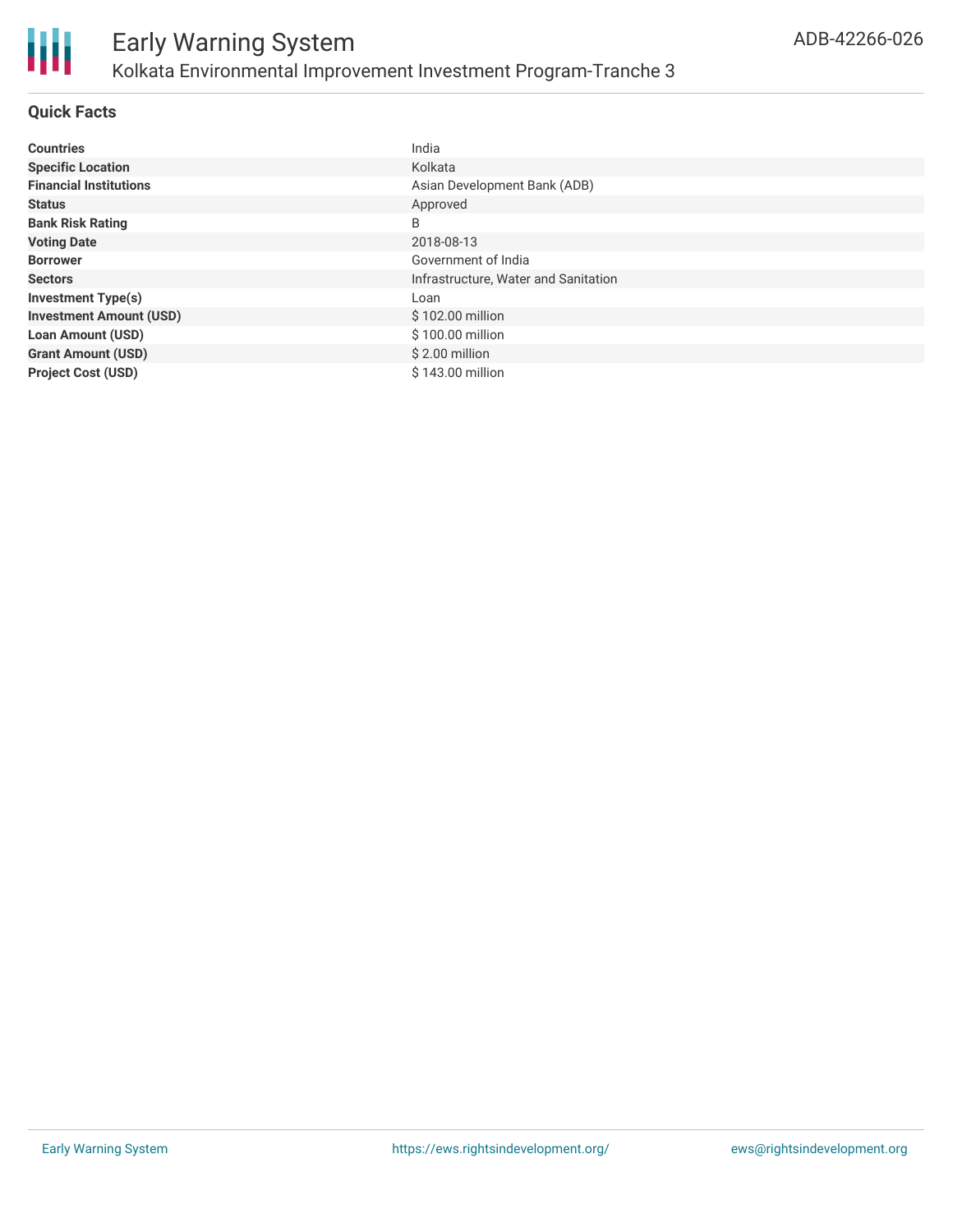

### **Quick Facts**

| <b>Countries</b>               | India                                |
|--------------------------------|--------------------------------------|
| <b>Specific Location</b>       | Kolkata                              |
| <b>Financial Institutions</b>  | Asian Development Bank (ADB)         |
| <b>Status</b>                  | Approved                             |
| <b>Bank Risk Rating</b>        | B                                    |
| <b>Voting Date</b>             | 2018-08-13                           |
| <b>Borrower</b>                | Government of India                  |
| <b>Sectors</b>                 | Infrastructure, Water and Sanitation |
| <b>Investment Type(s)</b>      | Loan                                 |
| <b>Investment Amount (USD)</b> | \$102.00 million                     |
| <b>Loan Amount (USD)</b>       | \$100.00 million                     |
| <b>Grant Amount (USD)</b>      | $$2.00$ million                      |
| <b>Project Cost (USD)</b>      | \$143.00 million                     |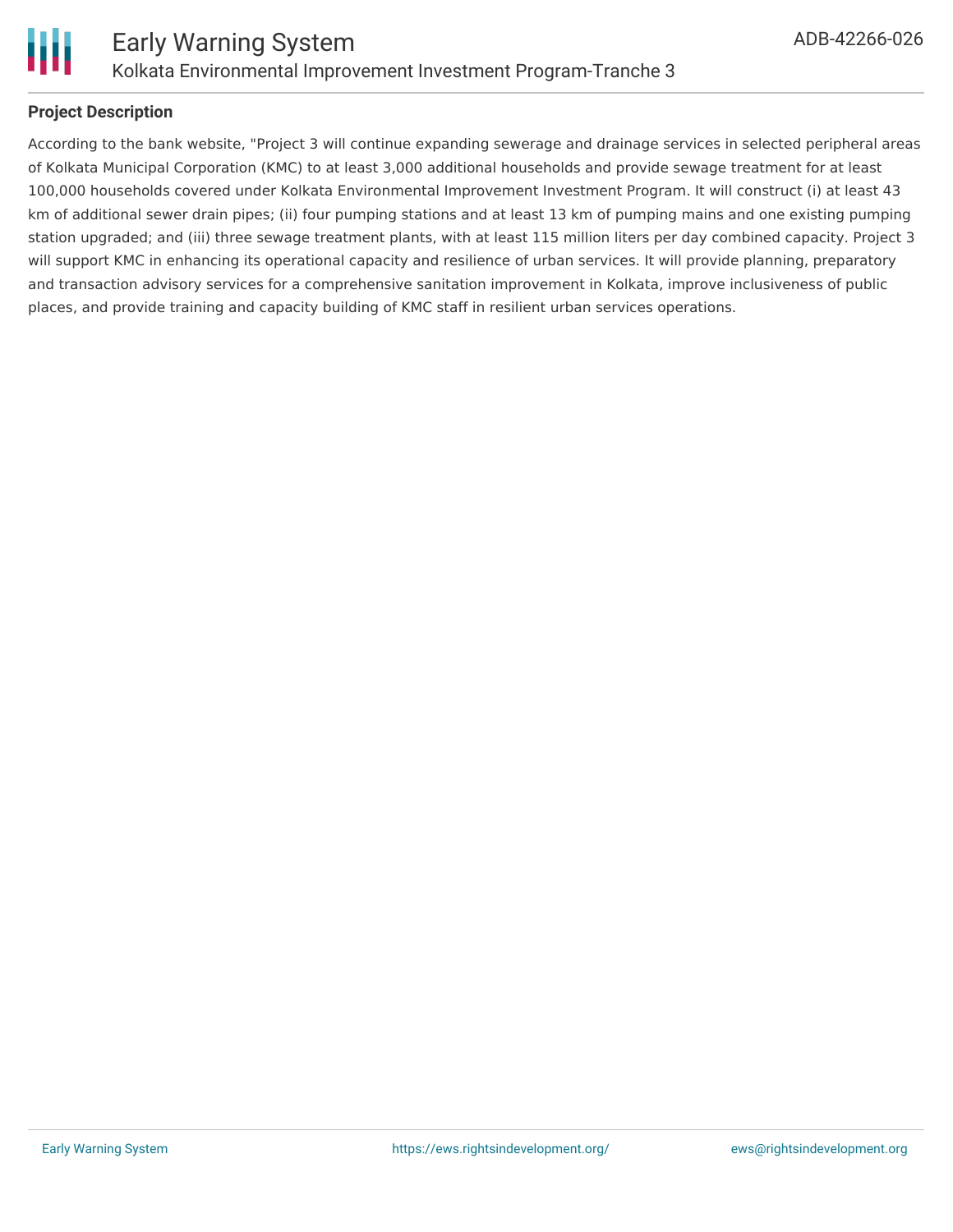

### **Project Description**

According to the bank website, "Project 3 will continue expanding sewerage and drainage services in selected peripheral areas of Kolkata Municipal Corporation (KMC) to at least 3,000 additional households and provide sewage treatment for at least 100,000 households covered under Kolkata Environmental Improvement Investment Program. It will construct (i) at least 43 km of additional sewer drain pipes; (ii) four pumping stations and at least 13 km of pumping mains and one existing pumping station upgraded; and (iii) three sewage treatment plants, with at least 115 million liters per day combined capacity. Project 3 will support KMC in enhancing its operational capacity and resilience of urban services. It will provide planning, preparatory and transaction advisory services for a comprehensive sanitation improvement in Kolkata, improve inclusiveness of public places, and provide training and capacity building of KMC staff in resilient urban services operations.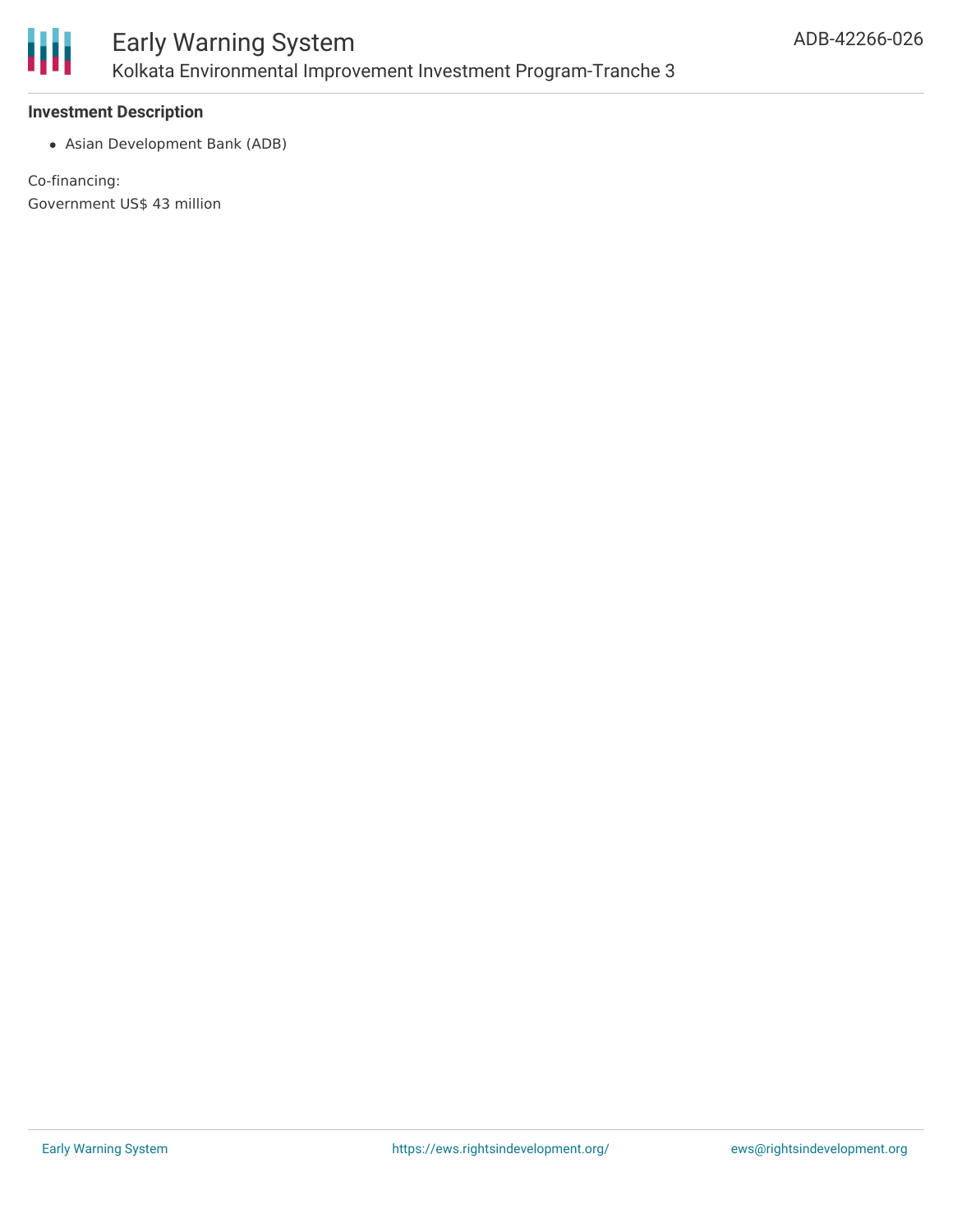

### **Investment Description**

Asian Development Bank (ADB)

Co-financing: Government US\$ 43 million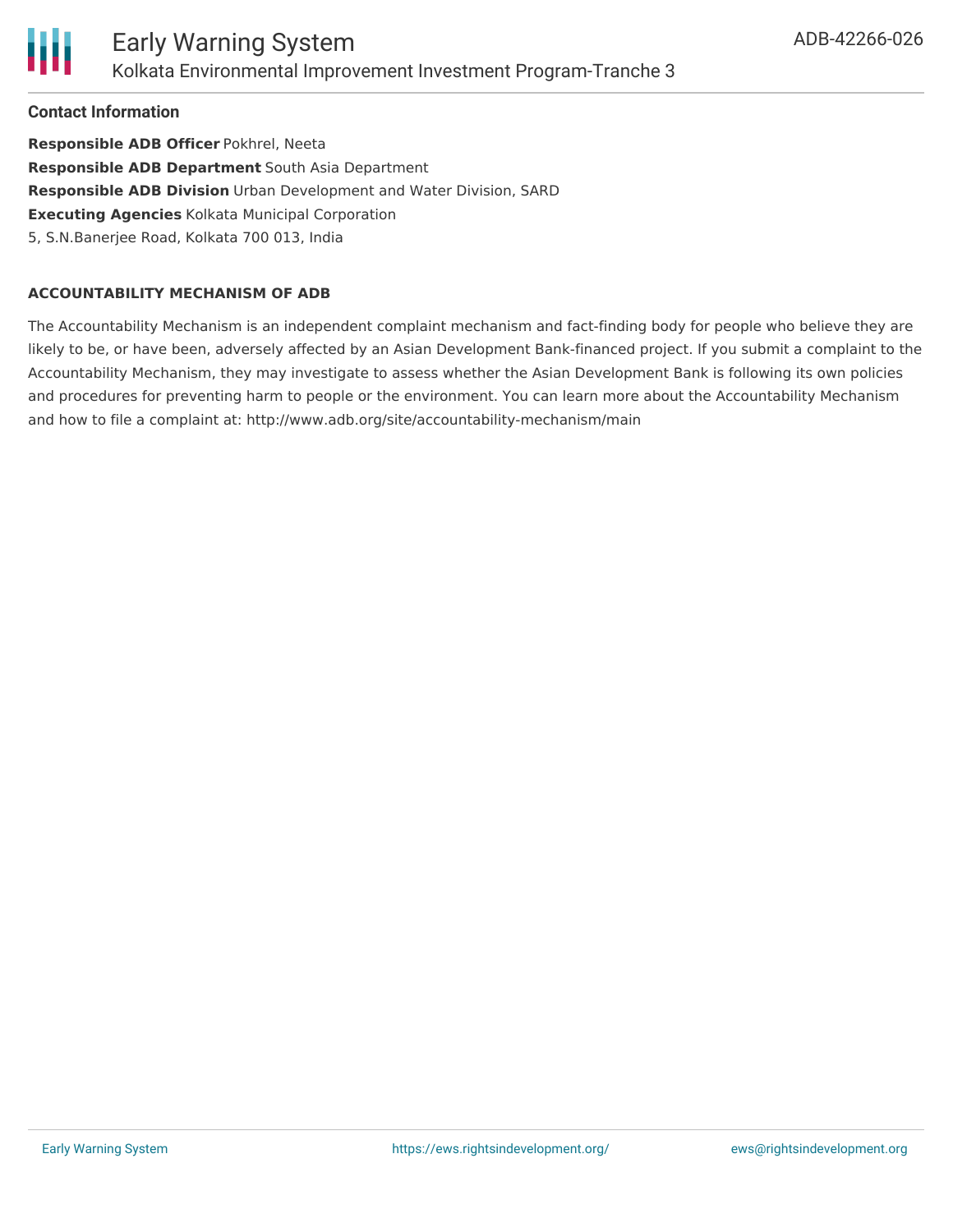

**Contact Information**

**Responsible ADB Officer** Pokhrel, Neeta **Responsible ADB Department** South Asia Department **Responsible ADB Division** Urban Development and Water Division, SARD **Executing Agencies** Kolkata Municipal Corporation 5, S.N.Banerjee Road, Kolkata 700 013, India

### **ACCOUNTABILITY MECHANISM OF ADB**

The Accountability Mechanism is an independent complaint mechanism and fact-finding body for people who believe they are likely to be, or have been, adversely affected by an Asian Development Bank-financed project. If you submit a complaint to the Accountability Mechanism, they may investigate to assess whether the Asian Development Bank is following its own policies and procedures for preventing harm to people or the environment. You can learn more about the Accountability Mechanism and how to file a complaint at: http://www.adb.org/site/accountability-mechanism/main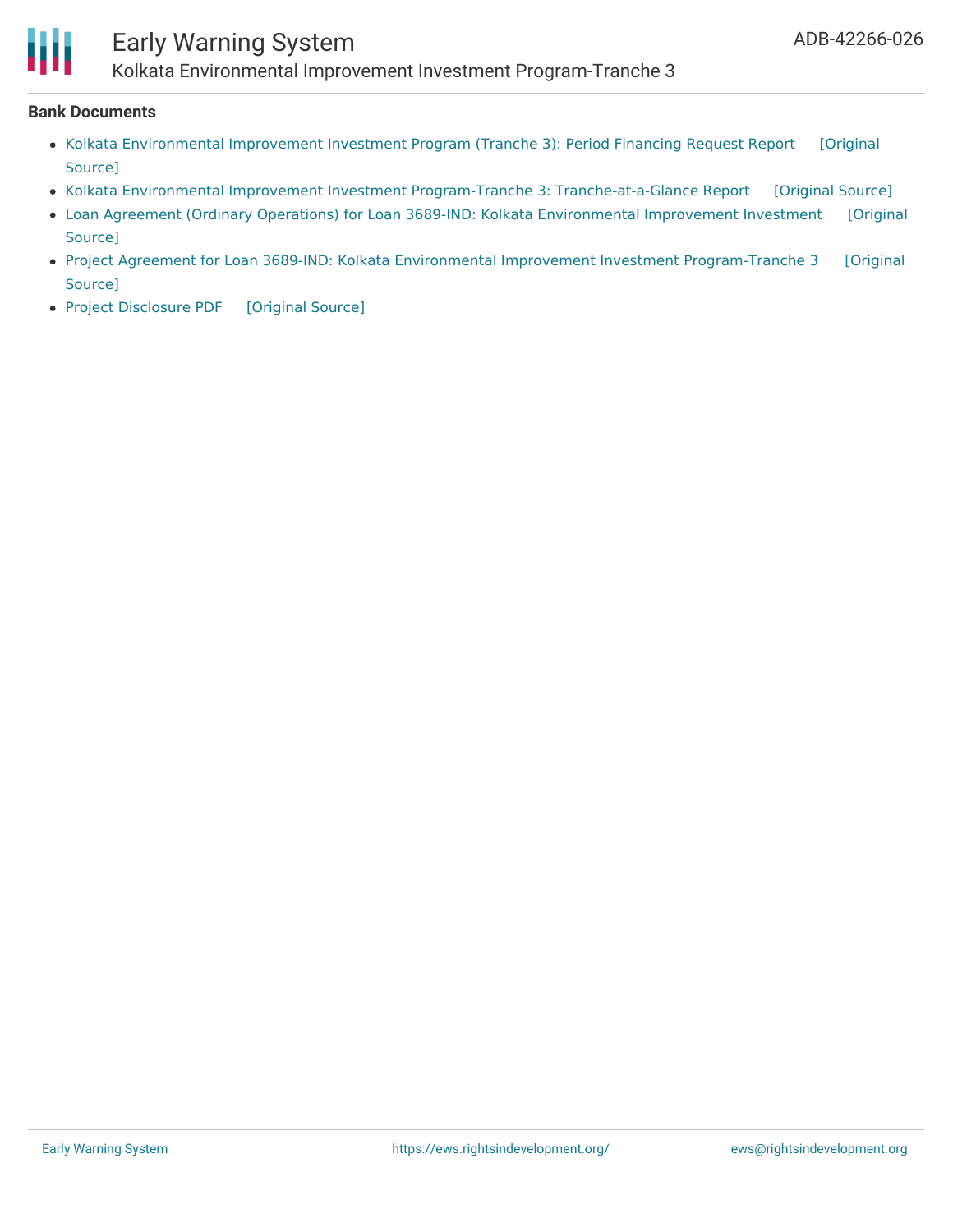# Early Warning System

Kolkata Environmental Improvement Investment Program-Tranche 3

### **Bank Documents**

- Kolkata [Environmental](https://ewsdata.rightsindevelopment.org/files/documents/26/ADB-42266-026_RlR11Nc.pdf) Improvement Investment Program (Tranche 3): Period Financing Request Report [Original Source]
- Kolkata Environmental Improvement Investment Program-Tranche 3: [Tranche-at-a-Glance](https://ewsdata.rightsindevelopment.org/files/documents/26/ADB-42266-026_Mw7K6wH.pdf) Report [\[Original](https://www.adb.org/projects/documents/ind-42266-026-pfrtr) Source]
- Loan Agreement (Ordinary Operations) for Loan 3689-IND: Kolkata [Environmental](https://www.adb.org/projects/documents/ind-42266-026-lna) Improvement Investment [Original Source]
- Project Agreement for Loan 3689-IND: Kolkata Environmental Improvement Investment [Program-Tranche](https://www.adb.org/projects/documents/ind-42266-026-pra) 3 [Original Source]
- Project [Disclosure](https://ewsdata.rightsindevelopment.org/files/documents/26/ADB-42266-026.pdf) PDF [\[Original](https://www.adb.org/printpdf/projects/42266-026/main) Source]